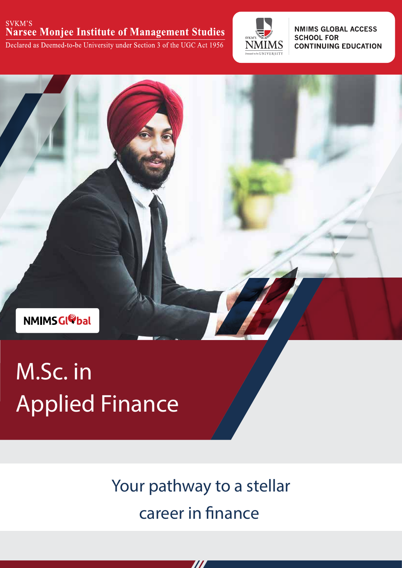#### SVKM'S **Narsee Monjee Institute of Management Studies**

Declared as Deemed-to-be University under Section 3 of the UGC Act 1956



**NMIMS GLOBAL ACCESS SCHOOL FOR CONTINUING EDUCATION** 



# M.Sc. in Applied Finance

Your pathway to a stellar career in finance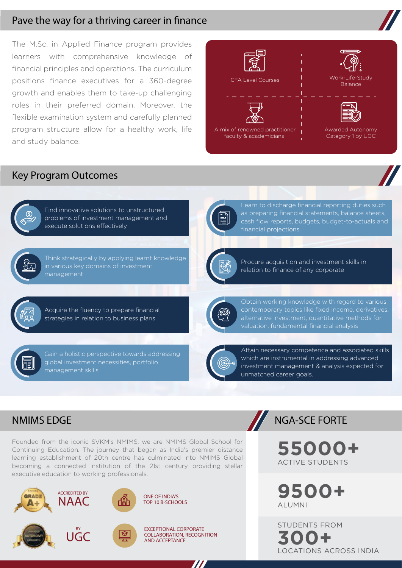#### Pave the way for a thriving career in finance

The M.Sc. in Applied Finance program provides learners with comprehensive knowledge of financial principles and operations. The curriculum positions finance executives for a 360-degree growth and enables them to take-up challenging roles in their preferred domain. Moreover, the flexible examination system and carefully planned program structure allow for a healthy work, life and study balance.



## Key Program Outcomes



Find innovative solutions to unstructured problems of investment management and execute solutions effectively



Think strategically by applying learnt knowledge management



Learn to discharge financial reporting duties such as preparing financial statements, balance sheets, cash flow reports, budgets, budget-to-actuals and



Procure acquisition and investment skills in relation to finance of any corporate



Acquire the fluency to prepare financial strategies in relation to business plans

Gain a holistic perspective towards addressing global investment necessities, portfolio management skills



Obtain working knowledge with regard to various contemporary topics like fixed income, derivatives, alternative investment, quantitative methods for



Attain necessary competence and associated skills which are instrumental in addressing advanced investment management & analysis expected for unmatched career goals.

## NMIMS EDGE NGA-SCE FORTE

Founded from the iconic SVKM's NMIMS, we are NMIMS Global School for Continuing Education. The journey that began as India's premier distance learning establishment of 20th centre has culminated into NMIMS Global becoming a connected institution of the 21st century providing stellar executive education to working professionals.



**55000+** ACTIVE STUDENTS

**9500+** ALUMNI

STUDENTS FROM **300+** LOCATIONS ACROSS INDIA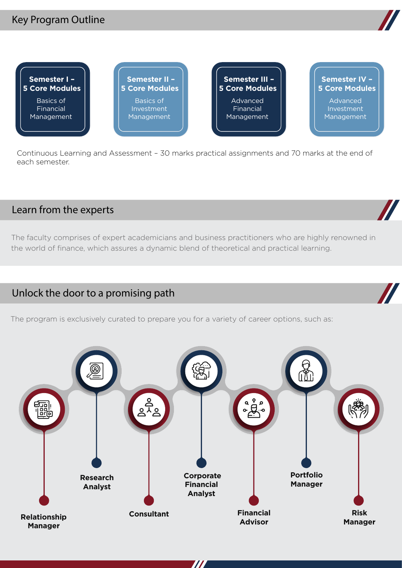## Key Program Outline



**Semester I – 5 Core Modules** Basics of Financial Management Basics of Investment Management Advanced Financial Management Advanced Investment Management **Semester II – 5 Core Modules Semester III – 5 Core Modules Semester IV – 5 Core Modules**

Continuous Learning and Assessment – 30 marks practical assignments and 70 marks at the end of each semester.

## Learn from the experts

The faculty comprises of expert academicians and business practitioners who are highly renowned in the world of finance, which assures a dynamic blend of theoretical and practical learning.

## Unlock the door to a promising path

The program is exclusively curated to prepare you for a variety of career options, such as:



 $\boldsymbol{\mathit{II}}$